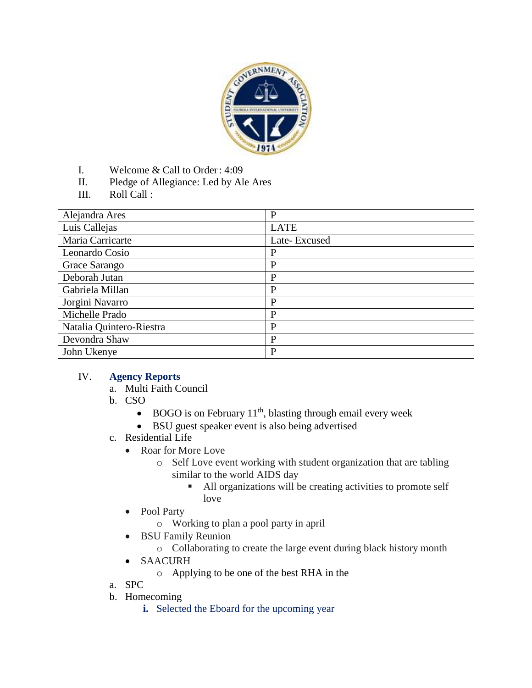

- I. Welcome & Call to Order: 4:09
- II. Pledge of Allegiance: Led by Ale Ares
- III. Roll Call :

| Alejandra Ares           | $\mathbf{P}$ |
|--------------------------|--------------|
| Luis Callejas            | <b>LATE</b>  |
| Maria Carricarte         | Late-Excused |
| Leonardo Cosio           | P            |
| Grace Sarango            | P            |
| Deborah Jutan            | P            |
| Gabriela Millan          | P            |
| Jorgini Navarro          | P            |
| Michelle Prado           | P            |
| Natalia Quintero-Riestra | P            |
| Devondra Shaw            | P            |
| John Ukenye              | P            |

#### IV. **Agency Reports**

- a. Multi Faith Council
- b. CSO
	- $\bullet$  BOGO is on February 11<sup>th</sup>, blasting through email every week
	- BSU guest speaker event is also being advertised
- c. Residential Life
	- Roar for More Love
		- o Self Love event working with student organization that are tabling similar to the world AIDS day
			- All organizations will be creating activities to promote self love
	- Pool Party
		- o Working to plan a pool party in april
	- BSU Family Reunion
		- o Collaborating to create the large event during black history month
	- SAACURH
		- o Applying to be one of the best RHA in the
- a. SPC
- b. Homecoming
	- **i.** Selected the Eboard for the upcoming year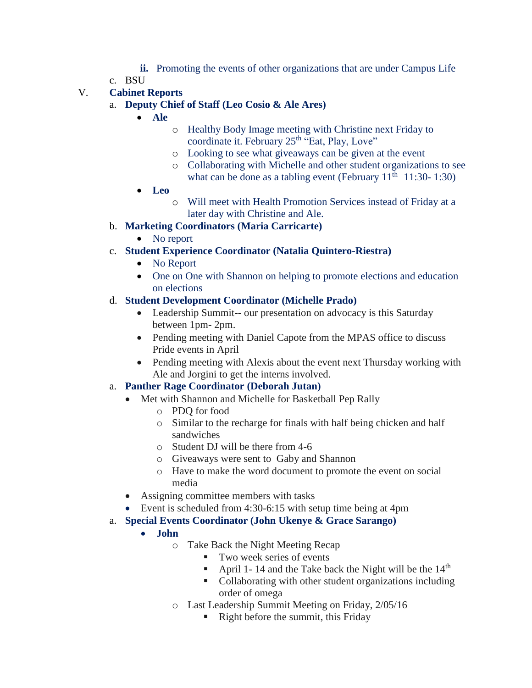- **ii.** Promoting the events of other organizations that are under Campus Life
- c. BSU

# V. **Cabinet Reports**

- a. **Deputy Chief of Staff (Leo Cosio & Ale Ares)**
	- **Ale**
		- o Healthy Body Image meeting with Christine next Friday to coordinate it. February 25<sup>th</sup> "Eat, Play, Love"
		- o Looking to see what giveaways can be given at the event
		- o Collaborating with Michelle and other student organizations to see what can be done as a tabling event (February  $11<sup>th</sup>$  11:30- 1:30)
	- **Leo**
		- o Will meet with Health Promotion Services instead of Friday at a later day with Christine and Ale.
- b. **Marketing Coordinators (Maria Carricarte)**
	- No report
- c. **Student Experience Coordinator (Natalia Quintero-Riestra)**
	- No Report
	- One on One with Shannon on helping to promote elections and education on elections

# d. **Student Development Coordinator (Michelle Prado)**

- Leadership Summit-- our presentation on advocacy is this Saturday between 1pm- 2pm.
- Pending meeting with Daniel Capote from the MPAS office to discuss Pride events in April
- Pending meeting with Alexis about the event next Thursday working with Ale and Jorgini to get the interns involved.

# a. **Panther Rage Coordinator (Deborah Jutan)**

- Met with Shannon and Michelle for Basketball Pep Rally
	- o PDQ for food
	- o Similar to the recharge for finals with half being chicken and half sandwiches
	- o Student DJ will be there from 4-6
	- o Giveaways were sent to Gaby and Shannon
	- o Have to make the word document to promote the event on social media
- Assigning committee members with tasks
- Event is scheduled from 4:30-6:15 with setup time being at 4pm
- a. **Special Events Coordinator (John Ukenye & Grace Sarango)**
	- **John** 
		- o Take Back the Night Meeting Recap
			- **Two week series of events**
			- April 1-14 and the Take back the Night will be the  $14<sup>th</sup>$
			- Collaborating with other student organizations including order of omega
		- o Last Leadership Summit Meeting on Friday, 2/05/16
			- Right before the summit, this Friday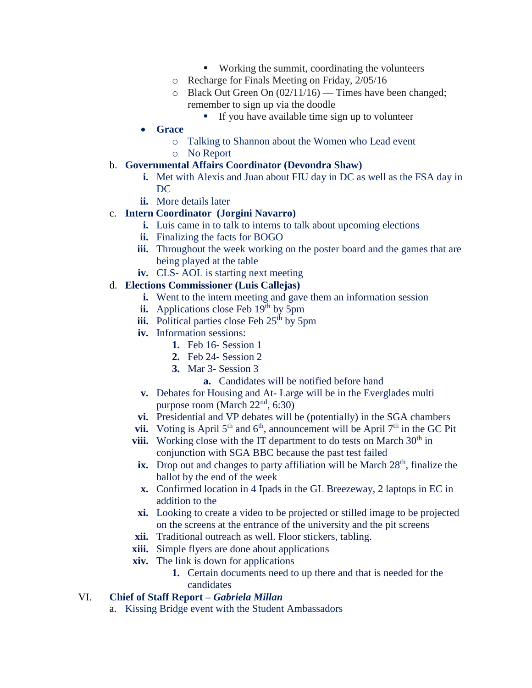- Working the summit, coordinating the volunteers
- o Recharge for Finals Meeting on Friday, 2/05/16
- $\circ$  Black Out Green On (02/11/16) Times have been changed; remember to sign up via the doodle
	- If you have available time sign up to volunteer
- **Grace**
	- o Talking to Shannon about the Women who Lead event
	- o No Report

### b. **Governmental Affairs Coordinator (Devondra Shaw)**

- **i.** Met with Alexis and Juan about FIU day in DC as well as the FSA day in DC
- **ii.** More details later

# c. **Intern Coordinator (Jorgini Navarro)**

- **i.** Luis came in to talk to interns to talk about upcoming elections
- **ii.** Finalizing the facts for BOGO
- **iii.** Throughout the week working on the poster board and the games that are being played at the table
- **iv.** CLS- AOL is starting next meeting

#### d. **Elections Commissioner (Luis Callejas)**

- **i.** Went to the intern meeting and gave them an information session
- **ii.** Applications close Feb  $19<sup>th</sup>$  by 5pm
- **iii.** Political parties close Feb  $25<sup>th</sup>$  by 5pm
- **iv.** Information sessions:
	- **1.** Feb 16- Session 1
	- **2.** Feb 24- Session 2
	- **3.** Mar 3- Session 3
		- **a.** Candidates will be notified before hand
- **v.** Debates for Housing and At- Large will be in the Everglades multi purpose room (March  $22<sup>nd</sup>$ , 6:30)
- **vi.** Presidential and VP debates will be (potentially) in the SGA chambers
- **vii.** Voting is April  $5<sup>th</sup>$  and  $6<sup>th</sup>$ , announcement will be April  $7<sup>th</sup>$  in the GC Pit
- **viii.** Working close with the IT department to do tests on March  $30<sup>th</sup>$  in conjunction with SGA BBC because the past test failed
- $\mathbf{i}$ **x.** Drop out and changes to party affiliation will be March  $28<sup>th</sup>$ , finalize the ballot by the end of the week
- **x.** Confirmed location in 4 Ipads in the GL Breezeway, 2 laptops in EC in addition to the
- **xi.** Looking to create a video to be projected or stilled image to be projected on the screens at the entrance of the university and the pit screens
- **xii.** Traditional outreach as well. Floor stickers, tabling.
- **xiii.** Simple flyers are done about applications
- **xiv.** The link is down for applications
	- **1.** Certain documents need to up there and that is needed for the candidates

# VI. **Chief of Staff Report –** *Gabriela Millan*

a. Kissing Bridge event with the Student Ambassadors